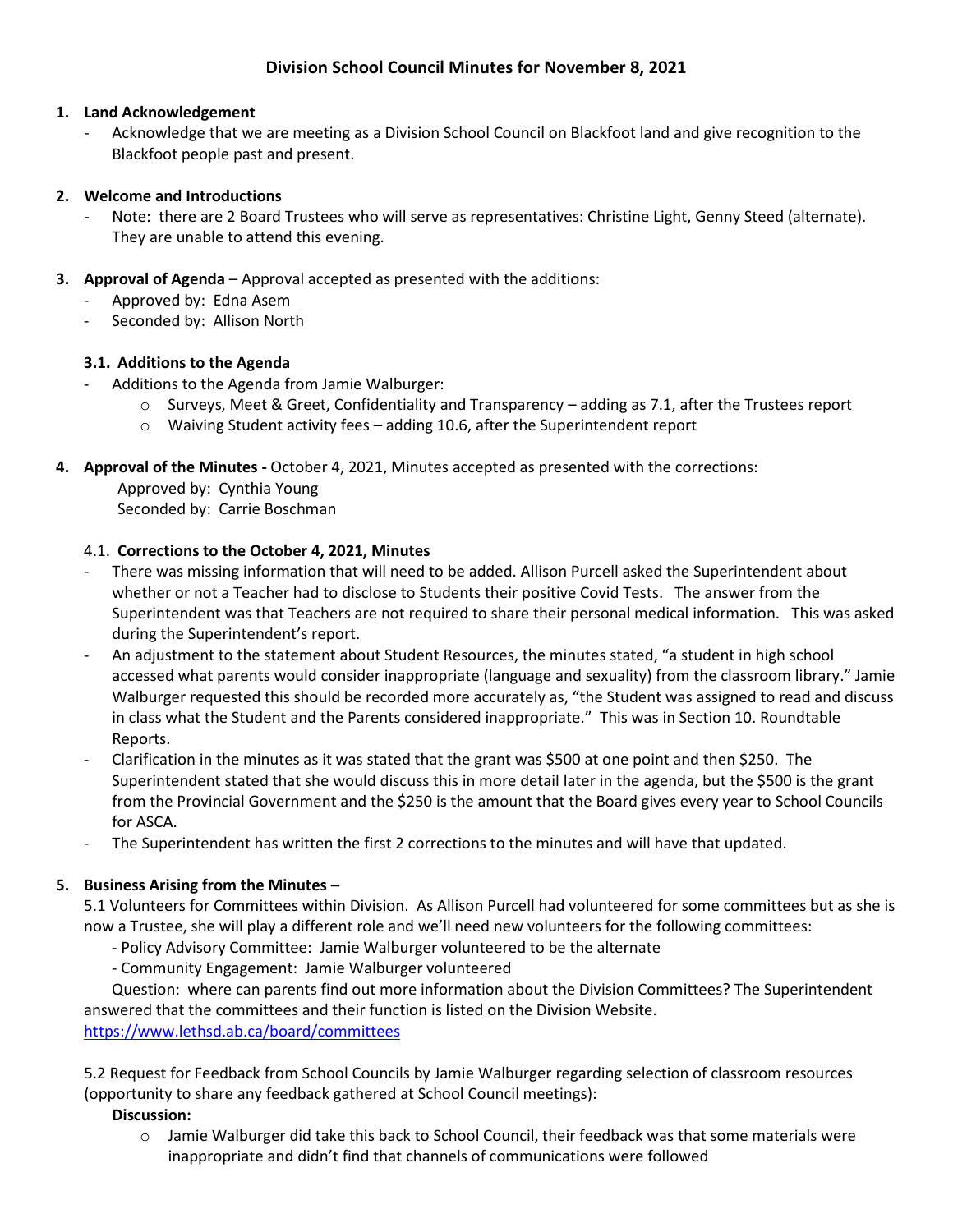# **Division School Council Minutes for November 8, 2021**

### **1. Land Acknowledgement**

- Acknowledge that we are meeting as a Division School Council on Blackfoot land and give recognition to the Blackfoot people past and present.

### **2. Welcome and Introductions**

- Note: there are 2 Board Trustees who will serve as representatives: Christine Light, Genny Steed (alternate). They are unable to attend this evening.
- **3. Approval of Agenda** Approval accepted as presented with the additions:
	- Approved by: Edna Asem
	- Seconded by: Allison North

### **3.1. Additions to the Agenda**

- Additions to the Agenda from Jamie Walburger:
	- $\circ$  Surveys, Meet & Greet, Confidentiality and Transparency adding as 7.1, after the Trustees report
	- o Waiving Student activity fees adding 10.6, after the Superintendent report
- **4. Approval of the Minutes -** October 4, 2021, Minutes accepted as presented with the corrections:

Approved by: Cynthia Young Seconded by: Carrie Boschman

### 4.1. **Corrections to the October 4, 2021, Minutes**

- There was missing information that will need to be added. Allison Purcell asked the Superintendent about whether or not a Teacher had to disclose to Students their positive Covid Tests. The answer from the Superintendent was that Teachers are not required to share their personal medical information. This was asked during the Superintendent's report.
- An adjustment to the statement about Student Resources, the minutes stated, "a student in high school accessed what parents would consider inappropriate (language and sexuality) from the classroom library." Jamie Walburger requested this should be recorded more accurately as, "the Student was assigned to read and discuss in class what the Student and the Parents considered inappropriate." This was in Section 10. Roundtable Reports.
- Clarification in the minutes as it was stated that the grant was \$500 at one point and then \$250. The Superintendent stated that she would discuss this in more detail later in the agenda, but the \$500 is the grant from the Provincial Government and the \$250 is the amount that the Board gives every year to School Councils for ASCA.
- The Superintendent has written the first 2 corrections to the minutes and will have that updated.

### **5. Business Arising from the Minutes –**

5.1 Volunteers for Committees within Division. As Allison Purcell had volunteered for some committees but as she is now a Trustee, she will play a different role and we'll need new volunteers for the following committees:

- Policy Advisory Committee: Jamie Walburger volunteered to be the alternate
- Community Engagement: Jamie Walburger volunteered

Question: where can parents find out more information about the Division Committees? The Superintendent answered that the committees and their function is listed on the Division Website.

<https://www.lethsd.ab.ca/board/committees>

5.2 Request for Feedback from School Councils by Jamie Walburger regarding selection of classroom resources (opportunity to share any feedback gathered at School Council meetings):

#### **Discussion:**

 $\circ$  Jamie Walburger did take this back to School Council, their feedback was that some materials were inappropriate and didn't find that channels of communications were followed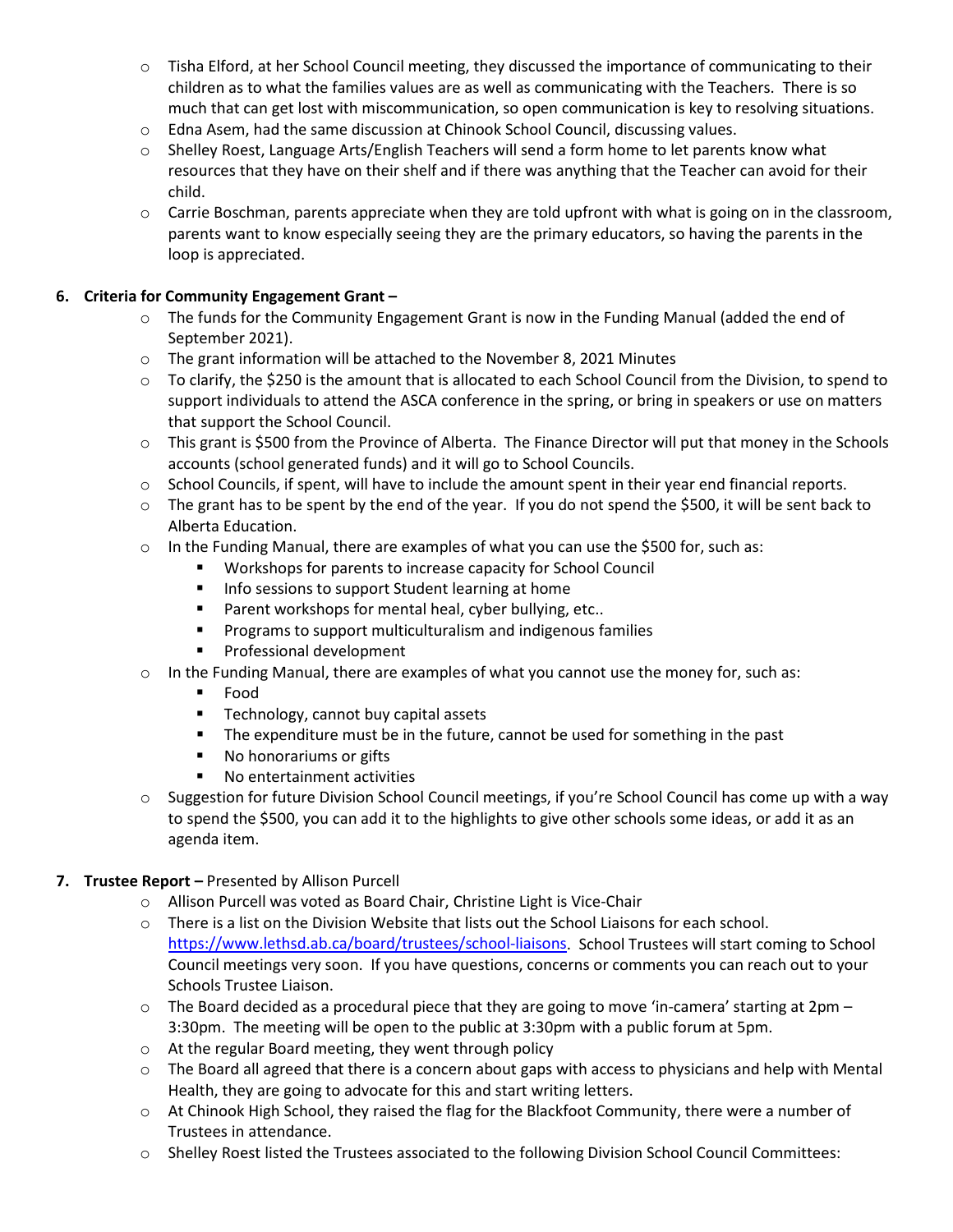- o Tisha Elford, at her School Council meeting, they discussed the importance of communicating to their children as to what the families values are as well as communicating with the Teachers. There is so much that can get lost with miscommunication, so open communication is key to resolving situations.
- o Edna Asem, had the same discussion at Chinook School Council, discussing values.
- o Shelley Roest, Language Arts/English Teachers will send a form home to let parents know what resources that they have on their shelf and if there was anything that the Teacher can avoid for their child.
- $\circ$  Carrie Boschman, parents appreciate when they are told upfront with what is going on in the classroom, parents want to know especially seeing they are the primary educators, so having the parents in the loop is appreciated.

### **6. Criteria for Community Engagement Grant –**

- $\circ$  The funds for the Community Engagement Grant is now in the Funding Manual (added the end of September 2021).
- o The grant information will be attached to the November 8, 2021 Minutes
- o To clarify, the \$250 is the amount that is allocated to each School Council from the Division, to spend to support individuals to attend the ASCA conference in the spring, or bring in speakers or use on matters that support the School Council.
- o This grant is \$500 from the Province of Alberta. The Finance Director will put that money in the Schools accounts (school generated funds) and it will go to School Councils.
- o School Councils, if spent, will have to include the amount spent in their year end financial reports.
- o The grant has to be spent by the end of the year. If you do not spend the \$500, it will be sent back to Alberta Education.
- o In the Funding Manual, there are examples of what you can use the \$500 for, such as:
	- Workshops for parents to increase capacity for School Council
	- **Info sessions to support Student learning at home**
	- **Parent workshops for mental heal, cyber bullying, etc..**
	- **Programs to support multiculturalism and indigenous families**
	- **Professional development**
- $\circ$  In the Funding Manual, there are examples of what you cannot use the money for, such as:
	- Food
	- **Technology, cannot buy capital assets**
	- **The expenditure must be in the future, cannot be used for something in the past**
	- No honorariums or gifts
	- **No entertainment activities**
- $\circ$  Suggestion for future Division School Council meetings, if you're School Council has come up with a way to spend the \$500, you can add it to the highlights to give other schools some ideas, or add it as an agenda item.

### **7. Trustee Report –** Presented by Allison Purcell

- o Allison Purcell was voted as Board Chair, Christine Light is Vice-Chair
- o There is a list on the Division Website that lists out the School Liaisons for each school. [https://www.lethsd.ab.ca/board/trustees/school-liaisons.](https://www.lethsd.ab.ca/board/trustees/school-liaisons) School Trustees will start coming to School Council meetings very soon. If you have questions, concerns or comments you can reach out to your Schools Trustee Liaison.
- $\circ$  The Board decided as a procedural piece that they are going to move 'in-camera' starting at 2pm 3:30pm. The meeting will be open to the public at 3:30pm with a public forum at 5pm.
- o At the regular Board meeting, they went through policy
- $\circ$  The Board all agreed that there is a concern about gaps with access to physicians and help with Mental Health, they are going to advocate for this and start writing letters.
- o At Chinook High School, they raised the flag for the Blackfoot Community, there were a number of Trustees in attendance.
- o Shelley Roest listed the Trustees associated to the following Division School Council Committees: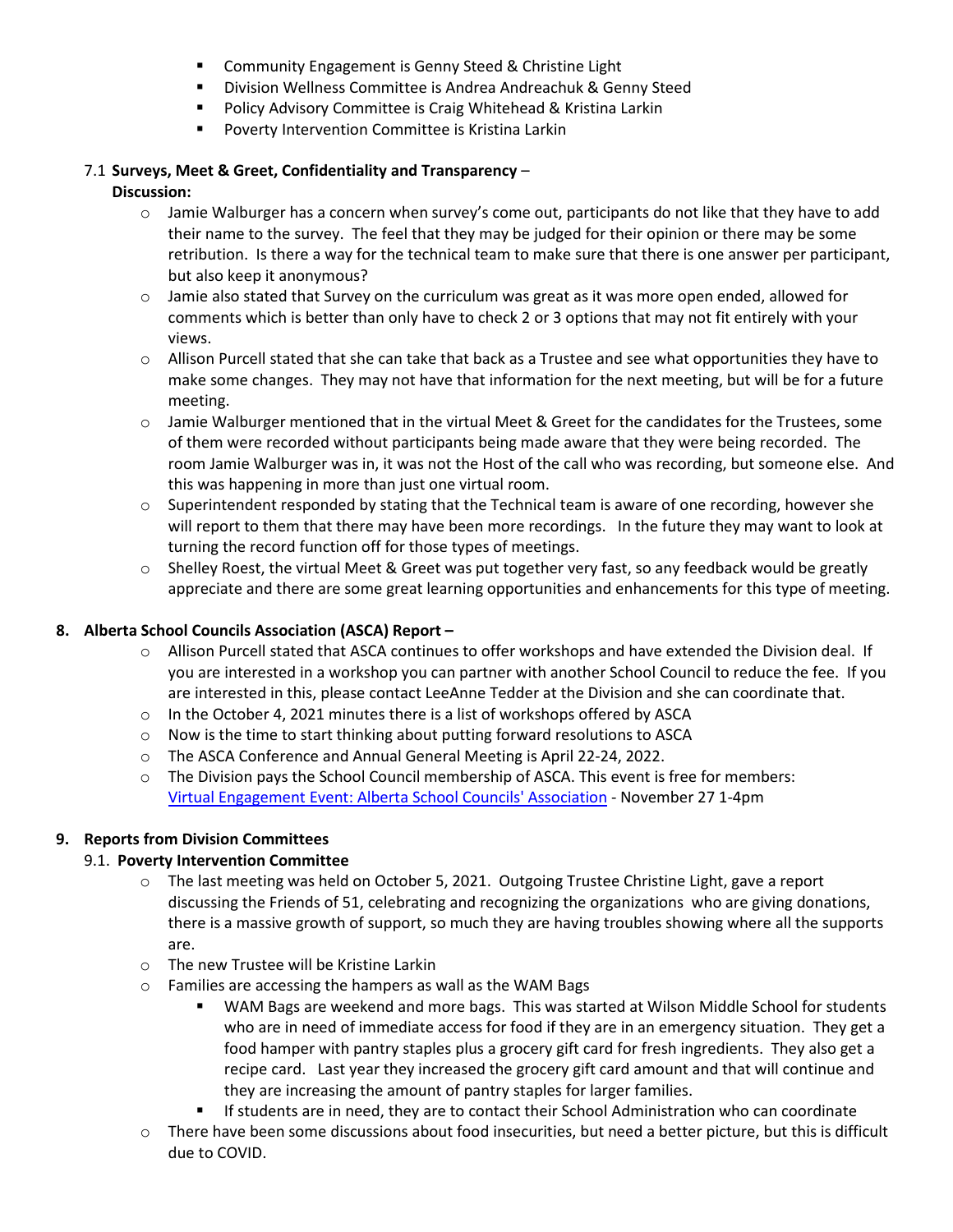- **E** Community Engagement is Genny Steed & Christine Light
- **Division Wellness Committee is Andrea Andreachuk & Genny Steed**
- **Policy Advisory Committee is Craig Whitehead & Kristina Larkin**
- **Poverty Intervention Committee is Kristina Larkin**

# 7.1 **Surveys, Meet & Greet, Confidentiality and Transparency** –

# **Discussion:**

- $\circ$  Jamie Walburger has a concern when survey's come out, participants do not like that they have to add their name to the survey. The feel that they may be judged for their opinion or there may be some retribution. Is there a way for the technical team to make sure that there is one answer per participant, but also keep it anonymous?
- $\circ$  Jamie also stated that Survey on the curriculum was great as it was more open ended, allowed for comments which is better than only have to check 2 or 3 options that may not fit entirely with your views.
- $\circ$  Allison Purcell stated that she can take that back as a Trustee and see what opportunities they have to make some changes. They may not have that information for the next meeting, but will be for a future meeting.
- $\circ$  Jamie Walburger mentioned that in the virtual Meet & Greet for the candidates for the Trustees, some of them were recorded without participants being made aware that they were being recorded. The room Jamie Walburger was in, it was not the Host of the call who was recording, but someone else. And this was happening in more than just one virtual room.
- o Superintendent responded by stating that the Technical team is aware of one recording, however she will report to them that there may have been more recordings. In the future they may want to look at turning the record function off for those types of meetings.
- $\circ$  Shelley Roest, the virtual Meet & Greet was put together very fast, so any feedback would be greatly appreciate and there are some great learning opportunities and enhancements for this type of meeting.

# **8. Alberta School Councils Association (ASCA) Report –**

- o Allison Purcell stated that ASCA continues to offer workshops and have extended the Division deal. If you are interested in a workshop you can partner with another School Council to reduce the fee. If you are interested in this, please contact LeeAnne Tedder at the Division and she can coordinate that.
- $\circ$  In the October 4, 2021 minutes there is a list of workshops offered by ASCA
- o Now is the time to start thinking about putting forward resolutions to ASCA
- o The ASCA Conference and Annual General Meeting is April 22-24, 2022.
- o The Division pays the School Council membership of ASCA. This event is free for members: Virtual [Engagement](https://can01.safelinks.protection.outlook.com/?url=https%3A%2F%2Fwww.albertaschoolcouncils.ca%2Fabout%2Fboard-of-directors%2Fvirtual-engagement-event&data=04%7C01%7CLeeAnne.Tedder%40lethsd.ab.ca%7Ca1771993e1c443553ed008d9a4676c8f%7C3c0e8b63e64e4c8da40f1d213b670472%7C0%7C0%7C637721586375475624%7CUnknown%7CTWFpbGZsb3d8eyJWIjoiMC4wLjAwMDAiLCJQIjoiV2luMzIiLCJBTiI6Ik1haWwiLCJXVCI6Mn0%3D%7C1000&sdata=dML%2Ffcn3TKlYNWX17oyj22Gvm7APkBLcnVFNCMzrq7k%3D&reserved=0) Event: Alberta School Councils' Association - November 27 1-4pm

# **9. Reports from Division Committees**

# 9.1. **Poverty Intervention Committee**

- o The last meeting was held on October 5, 2021. Outgoing Trustee Christine Light, gave a report discussing the Friends of 51, celebrating and recognizing the organizations who are giving donations, there is a massive growth of support, so much they are having troubles showing where all the supports are.
- o The new Trustee will be Kristine Larkin
- o Families are accessing the hampers as wall as the WAM Bags
	- WAM Bags are weekend and more bags. This was started at Wilson Middle School for students who are in need of immediate access for food if they are in an emergency situation. They get a food hamper with pantry staples plus a grocery gift card for fresh ingredients. They also get a recipe card. Last year they increased the grocery gift card amount and that will continue and they are increasing the amount of pantry staples for larger families.
	- If students are in need, they are to contact their School Administration who can coordinate
- $\circ$  There have been some discussions about food insecurities, but need a better picture, but this is difficult due to COVID.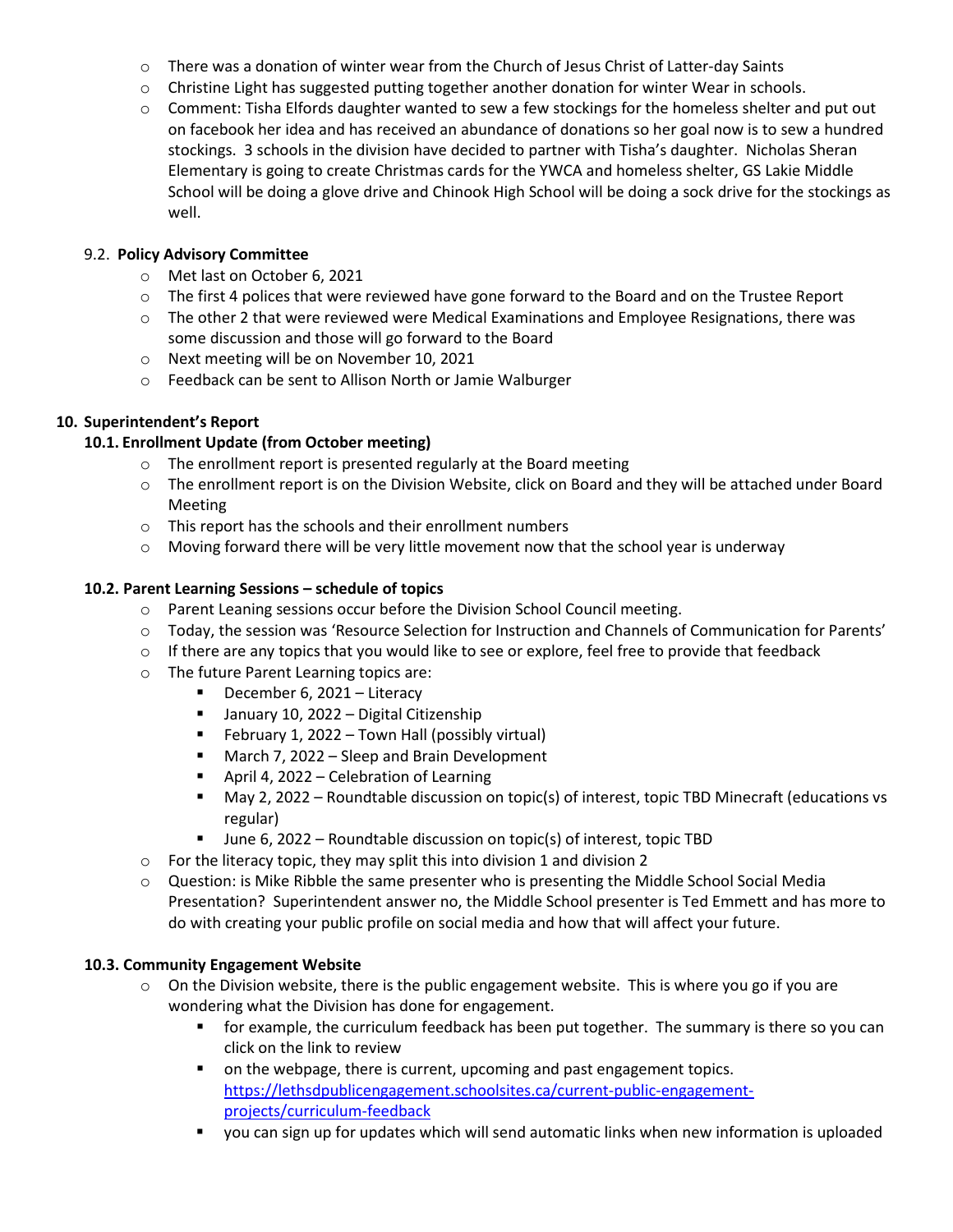- $\circ$  There was a donation of winter wear from the Church of Jesus Christ of Latter-day Saints
- $\circ$  Christine Light has suggested putting together another donation for winter Wear in schools.
- o Comment: Tisha Elfords daughter wanted to sew a few stockings for the homeless shelter and put out on facebook her idea and has received an abundance of donations so her goal now is to sew a hundred stockings. 3 schools in the division have decided to partner with Tisha's daughter. Nicholas Sheran Elementary is going to create Christmas cards for the YWCA and homeless shelter, GS Lakie Middle School will be doing a glove drive and Chinook High School will be doing a sock drive for the stockings as well.

### 9.2. **Policy Advisory Committee**

- o Met last on October 6, 2021
- $\circ$  The first 4 polices that were reviewed have gone forward to the Board and on the Trustee Report
- $\circ$  The other 2 that were reviewed were Medical Examinations and Employee Resignations, there was some discussion and those will go forward to the Board
- o Next meeting will be on November 10, 2021
- o Feedback can be sent to Allison North or Jamie Walburger

### **10. Superintendent's Report**

### **10.1. Enrollment Update (from October meeting)**

- o The enrollment report is presented regularly at the Board meeting
- o The enrollment report is on the Division Website, click on Board and they will be attached under Board Meeting
- o This report has the schools and their enrollment numbers
- $\circ$  Moving forward there will be very little movement now that the school year is underway

### **10.2. Parent Learning Sessions – schedule of topics**

- o Parent Leaning sessions occur before the Division School Council meeting.
- o Today, the session was 'Resource Selection for Instruction and Channels of Communication for Parents'
- $\circ$  If there are any topics that you would like to see or explore, feel free to provide that feedback
- o The future Parent Learning topics are:
	- **December 6, 2021 Literacy**
	- **January 10, 2022 Digital Citizenship**
	- **February 1, 2022 Town Hall (possibly virtual)**
	- **March 7, 2022 Sleep and Brain Development**
	- **April 4, 2022 Celebration of Learning**
	- May 2, 2022 Roundtable discussion on topic(s) of interest, topic TBD Minecraft (educations vs regular)
	- June 6, 2022 Roundtable discussion on topic(s) of interest, topic TBD
- o For the literacy topic, they may split this into division 1 and division 2
- o Question: is Mike Ribble the same presenter who is presenting the Middle School Social Media Presentation? Superintendent answer no, the Middle School presenter is Ted Emmett and has more to do with creating your public profile on social media and how that will affect your future.

#### **10.3. Community Engagement Website**

- o On the Division website, there is the public engagement website. This is where you go if you are wondering what the Division has done for engagement.
	- **for example, the curriculum feedback has been put together. The summary is there so you can** click on the link to review
	- on the webpage, there is current, upcoming and past engagement topics. [https://lethsdpublicengagement.schoolsites.ca/current-public-engagement](https://lethsdpublicengagement.schoolsites.ca/current-public-engagement-projects/curriculum-feedback)[projects/curriculum-feedback](https://lethsdpublicengagement.schoolsites.ca/current-public-engagement-projects/curriculum-feedback)
	- you can sign up for updates which will send automatic links when new information is uploaded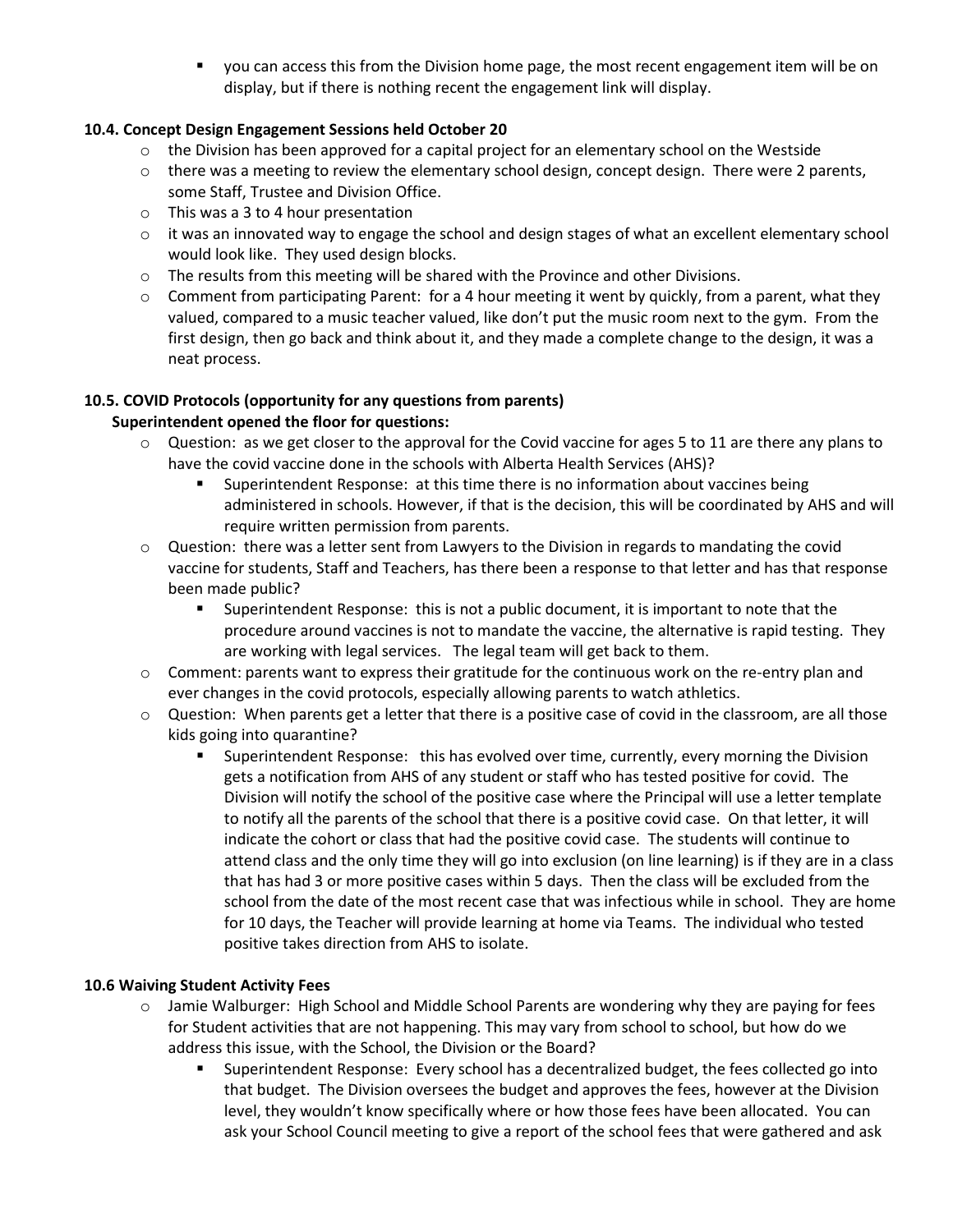you can access this from the Division home page, the most recent engagement item will be on display, but if there is nothing recent the engagement link will display.

### **10.4. Concept Design Engagement Sessions held October 20**

- $\circ$  the Division has been approved for a capital project for an elementary school on the Westside
- $\circ$  there was a meeting to review the elementary school design, concept design. There were 2 parents, some Staff, Trustee and Division Office.
- o This was a 3 to 4 hour presentation
- $\circ$  it was an innovated way to engage the school and design stages of what an excellent elementary school would look like. They used design blocks.
- $\circ$  The results from this meeting will be shared with the Province and other Divisions.
- $\circ$  Comment from participating Parent: for a 4 hour meeting it went by quickly, from a parent, what they valued, compared to a music teacher valued, like don't put the music room next to the gym. From the first design, then go back and think about it, and they made a complete change to the design, it was a neat process.

## **10.5. COVID Protocols (opportunity for any questions from parents)**

### **Superintendent opened the floor for questions:**

- $\circ$  Question: as we get closer to the approval for the Covid vaccine for ages 5 to 11 are there any plans to have the covid vaccine done in the schools with Alberta Health Services (AHS)?
	- Superintendent Response: at this time there is no information about vaccines being administered in schools. However, if that is the decision, this will be coordinated by AHS and will require written permission from parents.
- o Question: there was a letter sent from Lawyers to the Division in regards to mandating the covid vaccine for students, Staff and Teachers, has there been a response to that letter and has that response been made public?
	- Superintendent Response: this is not a public document, it is important to note that the procedure around vaccines is not to mandate the vaccine, the alternative is rapid testing. They are working with legal services. The legal team will get back to them.
- $\circ$  Comment: parents want to express their gratitude for the continuous work on the re-entry plan and ever changes in the covid protocols, especially allowing parents to watch athletics.
- $\circ$  Question: When parents get a letter that there is a positive case of covid in the classroom, are all those kids going into quarantine?
	- Superintendent Response: this has evolved over time, currently, every morning the Division gets a notification from AHS of any student or staff who has tested positive for covid. The Division will notify the school of the positive case where the Principal will use a letter template to notify all the parents of the school that there is a positive covid case. On that letter, it will indicate the cohort or class that had the positive covid case. The students will continue to attend class and the only time they will go into exclusion (on line learning) is if they are in a class that has had 3 or more positive cases within 5 days. Then the class will be excluded from the school from the date of the most recent case that was infectious while in school. They are home for 10 days, the Teacher will provide learning at home via Teams. The individual who tested positive takes direction from AHS to isolate.

#### **10.6 Waiving Student Activity Fees**

- $\circ$  Jamie Walburger: High School and Middle School Parents are wondering why they are paying for fees for Student activities that are not happening. This may vary from school to school, but how do we address this issue, with the School, the Division or the Board?
	- Superintendent Response: Every school has a decentralized budget, the fees collected go into that budget. The Division oversees the budget and approves the fees, however at the Division level, they wouldn't know specifically where or how those fees have been allocated. You can ask your School Council meeting to give a report of the school fees that were gathered and ask